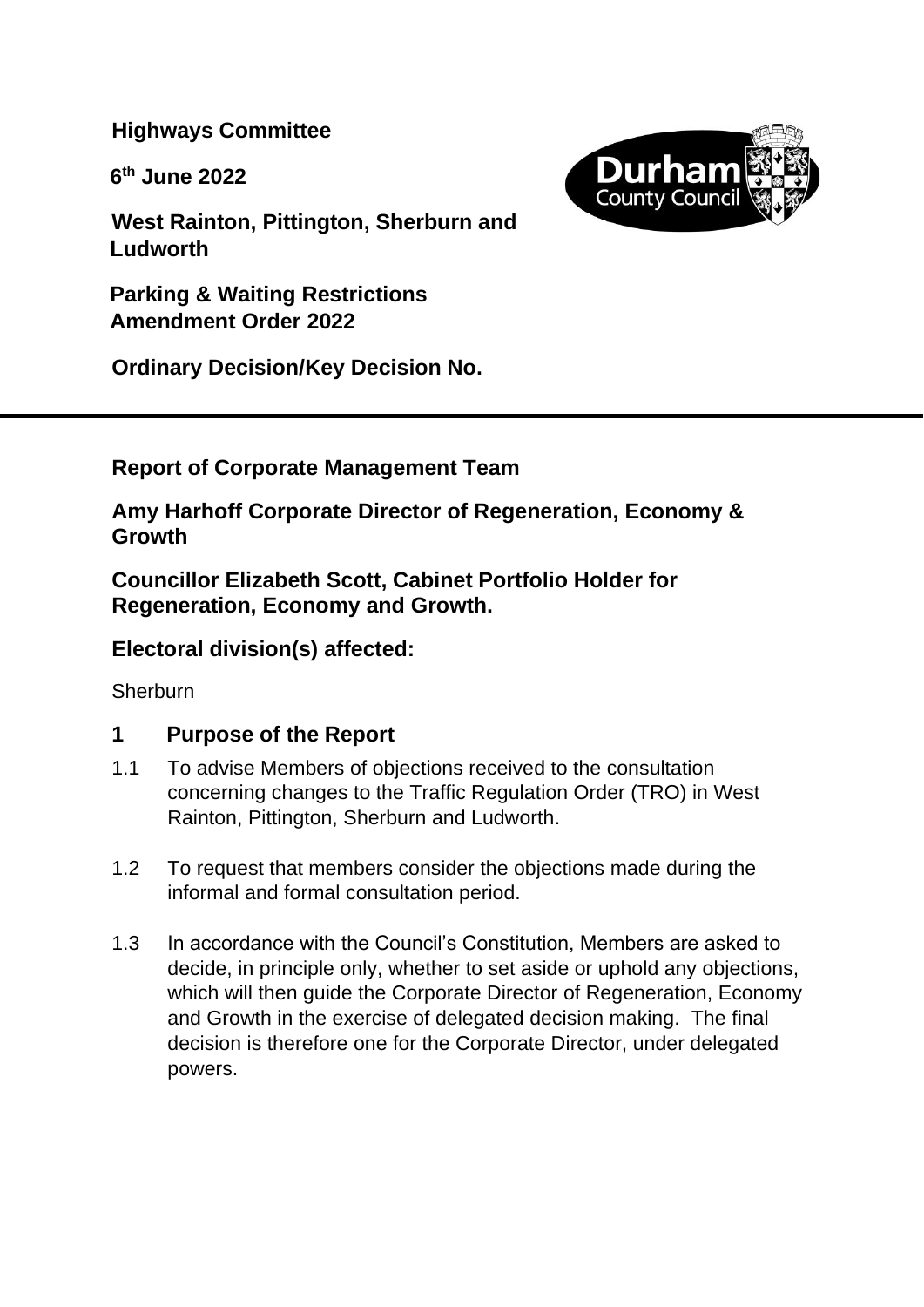**Highways Committee**

**6 th June 2022**



**West Rainton, Pittington, Sherburn and Ludworth**

**Parking & Waiting Restrictions Amendment Order 2022**

**Ordinary Decision/Key Decision No.**

**Report of Corporate Management Team**

**Amy Harhoff Corporate Director of Regeneration, Economy & Growth**

**Councillor Elizabeth Scott, Cabinet Portfolio Holder for Regeneration, Economy and Growth.** 

# **Electoral division(s) affected:**

**Sherburn** 

## **1 Purpose of the Report**

- 1.1 To advise Members of objections received to the consultation concerning changes to the Traffic Regulation Order (TRO) in West Rainton, Pittington, Sherburn and Ludworth.
- 1.2 To request that members consider the objections made during the informal and formal consultation period.
- 1.3 In accordance with the Council's Constitution, Members are asked to decide, in principle only, whether to set aside or uphold any objections, which will then quide the Corporate Director of Regeneration, Economy and Growth in the exercise of delegated decision making. The final decision is therefore one for the Corporate Director, under delegated powers.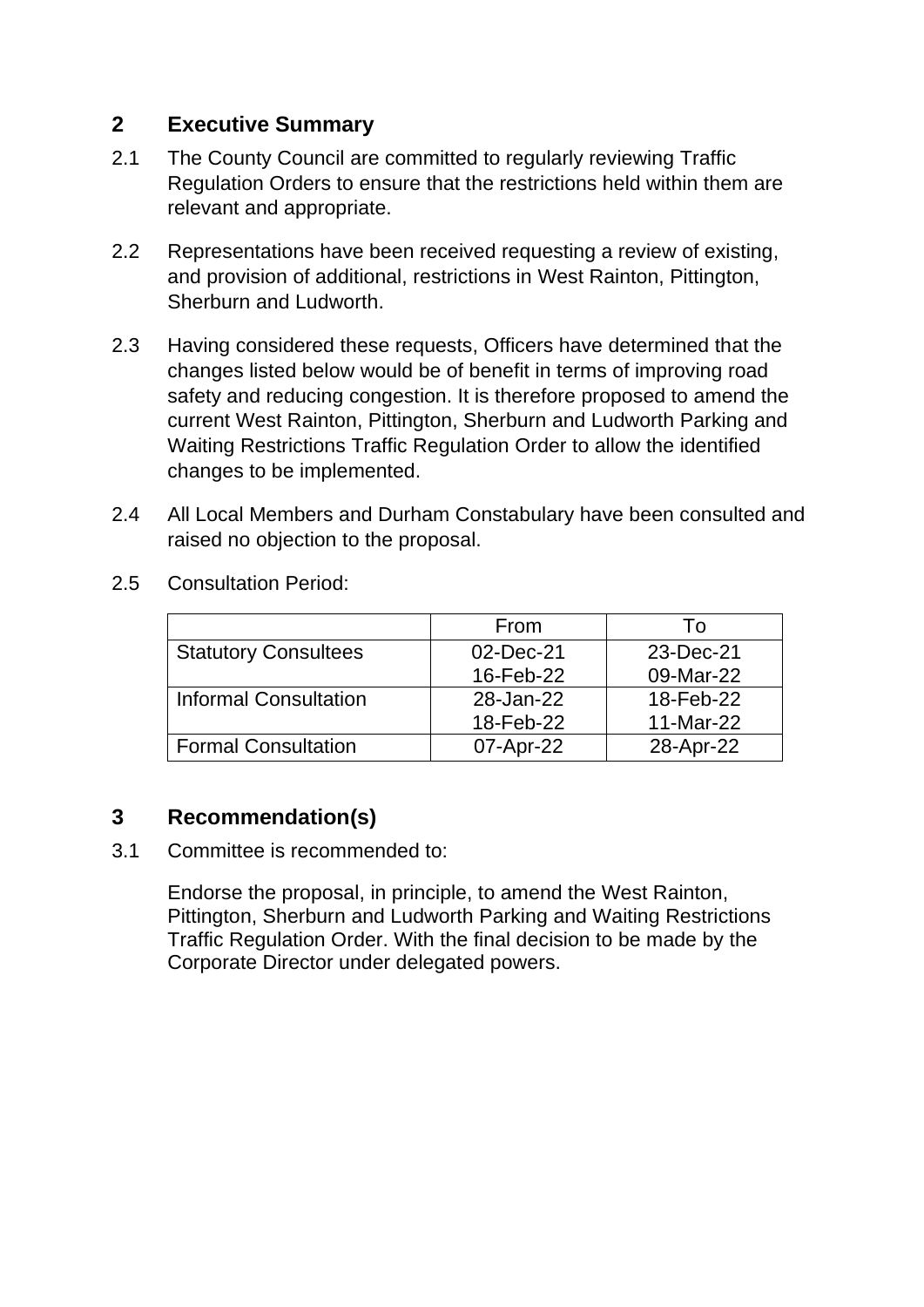## **2 Executive Summary**

- 2.1 The County Council are committed to regularly reviewing Traffic Regulation Orders to ensure that the restrictions held within them are relevant and appropriate.
- 2.2 Representations have been received requesting a review of existing, and provision of additional, restrictions in West Rainton, Pittington, Sherburn and Ludworth.
- 2.3 Having considered these requests, Officers have determined that the changes listed below would be of benefit in terms of improving road safety and reducing congestion. It is therefore proposed to amend the current West Rainton, Pittington, Sherburn and Ludworth Parking and Waiting Restrictions Traffic Regulation Order to allow the identified changes to be implemented.
- 2.4 All Local Members and Durham Constabulary have been consulted and raised no objection to the proposal.

|                              | From      | I O       |
|------------------------------|-----------|-----------|
| <b>Statutory Consultees</b>  | 02-Dec-21 | 23-Dec-21 |
|                              | 16-Feb-22 | 09-Mar-22 |
| <b>Informal Consultation</b> | 28-Jan-22 | 18-Feb-22 |
|                              | 18-Feb-22 | 11-Mar-22 |
| Formal Consultation          | 07-Apr-22 | 28-Apr-22 |

2.5 Consultation Period:

## **3 Recommendation(s)**

3.1 Committee is recommended to:

Endorse the proposal, in principle, to amend the West Rainton, Pittington, Sherburn and Ludworth Parking and Waiting Restrictions Traffic Regulation Order. With the final decision to be made by the Corporate Director under delegated powers.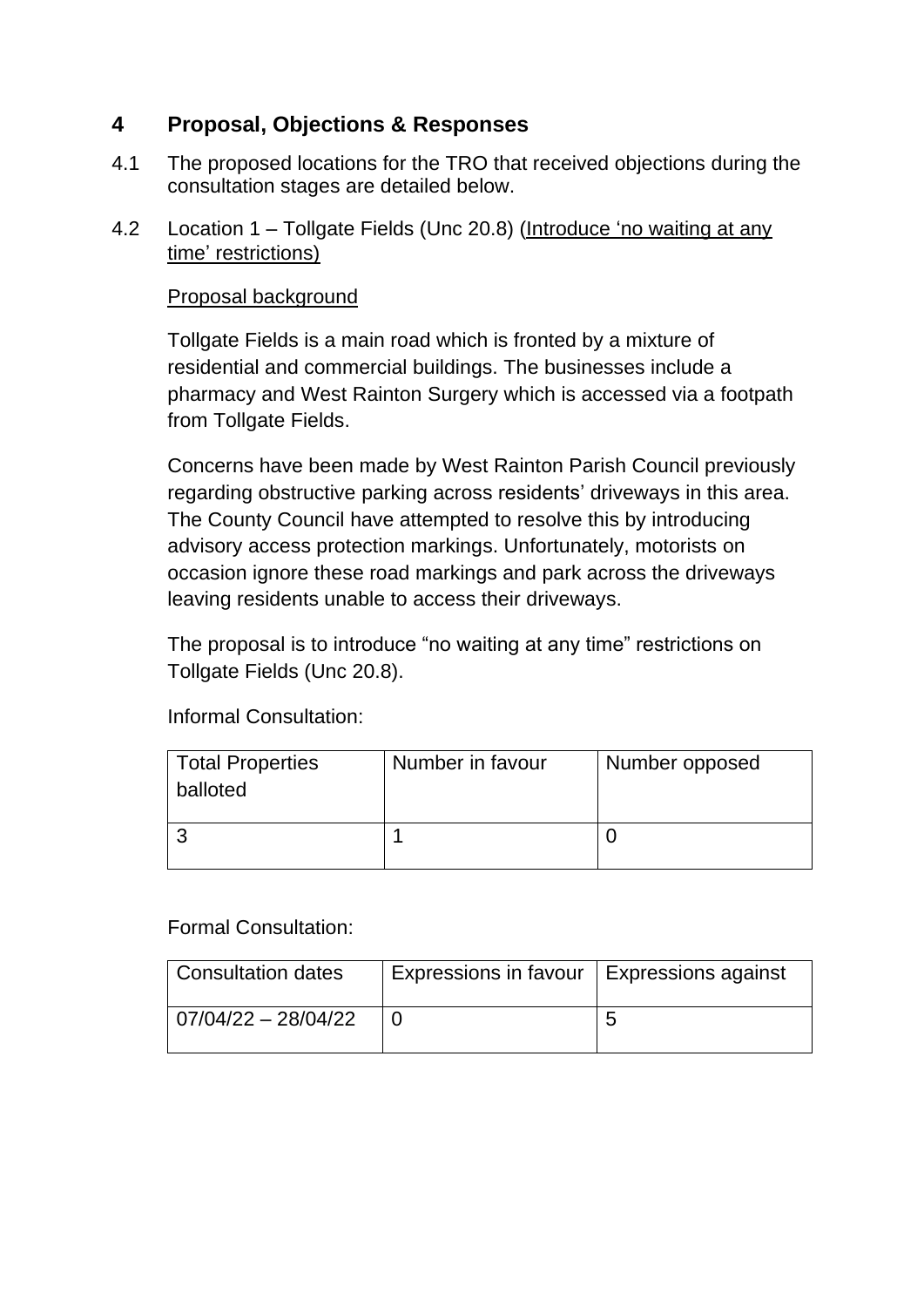# **4 Proposal, Objections & Responses**

- 4.1 The proposed locations for the TRO that received objections during the consultation stages are detailed below.
- 4.2 Location 1 Tollgate Fields (Unc 20.8) (Introduce 'no waiting at any time' restrictions)

#### Proposal background

Tollgate Fields is a main road which is fronted by a mixture of residential and commercial buildings. The businesses include a pharmacy and West Rainton Surgery which is accessed via a footpath from Tollgate Fields.

Concerns have been made by West Rainton Parish Council previously regarding obstructive parking across residents' driveways in this area. The County Council have attempted to resolve this by introducing advisory access protection markings. Unfortunately, motorists on occasion ignore these road markings and park across the driveways leaving residents unable to access their driveways.

The proposal is to introduce "no waiting at any time" restrictions on Tollgate Fields (Unc 20.8).

Informal Consultation:

| Total Properties<br>balloted | Number in favour | Number opposed |
|------------------------------|------------------|----------------|
|                              |                  |                |

#### Formal Consultation:

| <b>Consultation dates</b> | Expressions in favour   Expressions against |   |
|---------------------------|---------------------------------------------|---|
| 07/04/22 - 28/04/22       |                                             | ∽ |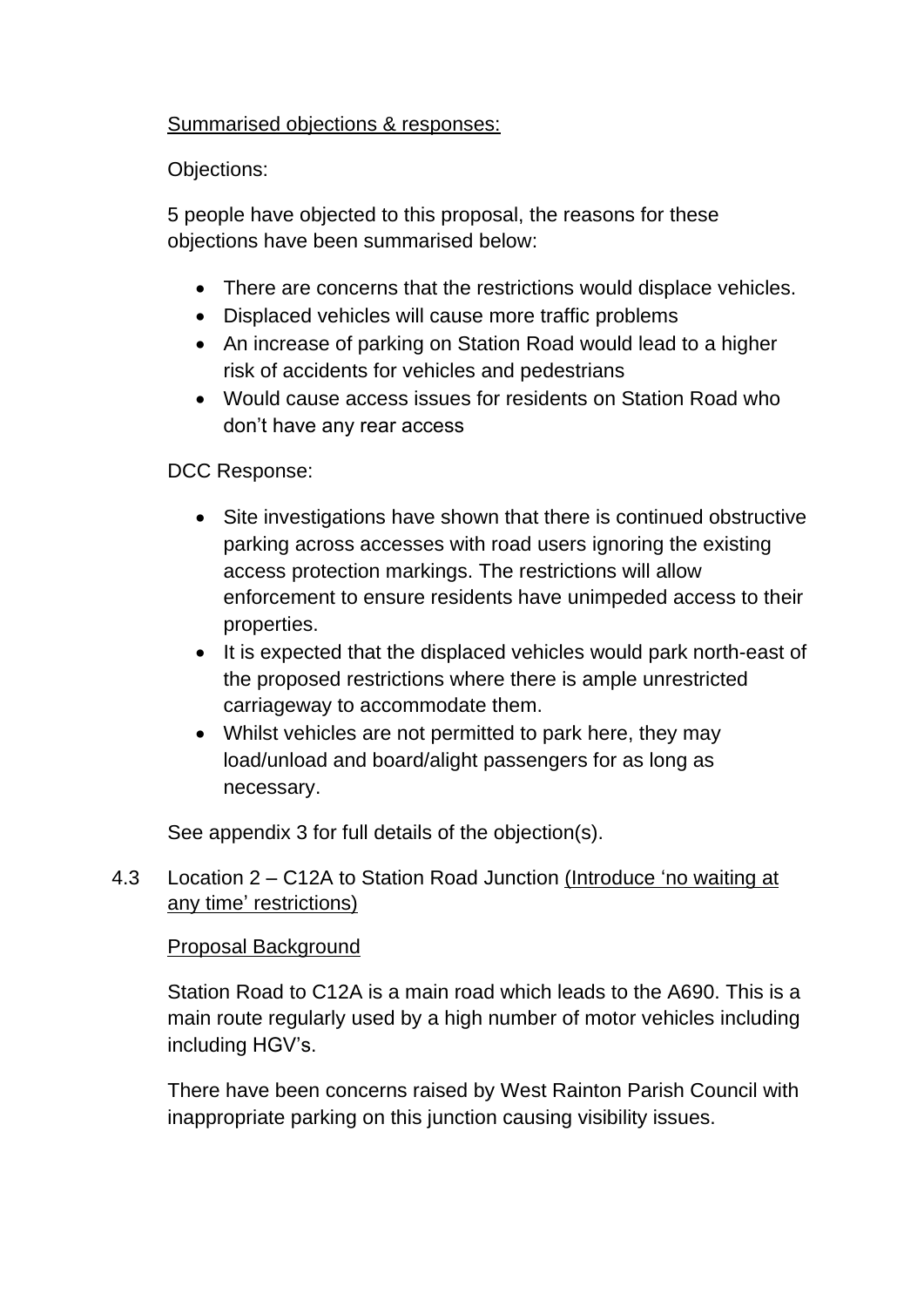#### Summarised objections & responses:

#### Objections:

5 people have objected to this proposal, the reasons for these objections have been summarised below:

- There are concerns that the restrictions would displace vehicles.
- Displaced vehicles will cause more traffic problems
- An increase of parking on Station Road would lead to a higher risk of accidents for vehicles and pedestrians
- Would cause access issues for residents on Station Road who don't have any rear access

DCC Response:

- Site investigations have shown that there is continued obstructive parking across accesses with road users ignoring the existing access protection markings. The restrictions will allow enforcement to ensure residents have unimpeded access to their properties.
- It is expected that the displaced vehicles would park north-east of the proposed restrictions where there is ample unrestricted carriageway to accommodate them.
- Whilst vehicles are not permitted to park here, they may load/unload and board/alight passengers for as long as necessary.

See appendix 3 for full details of the objection(s).

## 4.3 Location 2 – C12A to Station Road Junction (Introduce 'no waiting at any time' restrictions)

## Proposal Background

Station Road to C12A is a main road which leads to the A690. This is a main route regularly used by a high number of motor vehicles including including HGV's.

There have been concerns raised by West Rainton Parish Council with inappropriate parking on this junction causing visibility issues.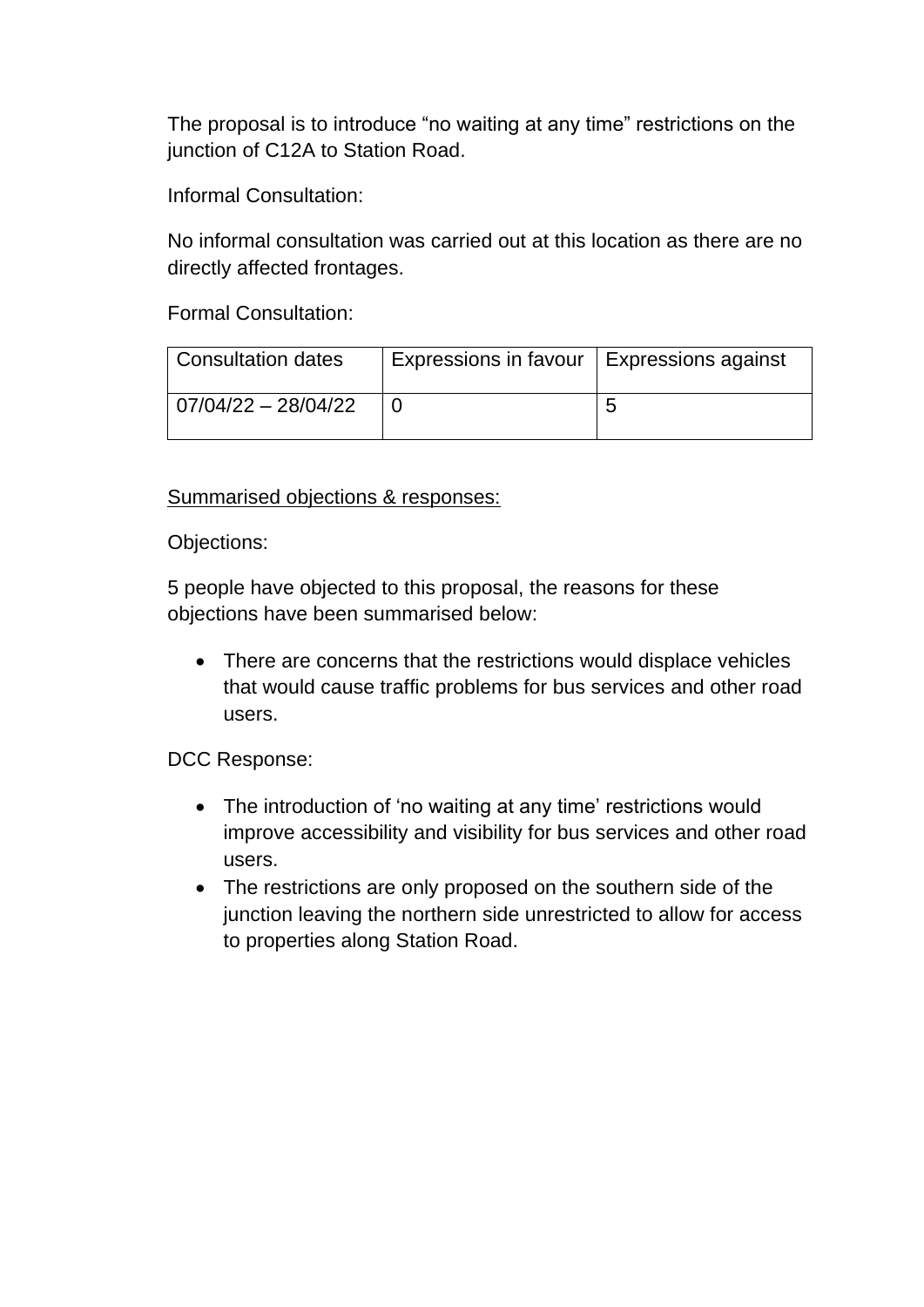The proposal is to introduce "no waiting at any time" restrictions on the junction of C12A to Station Road.

Informal Consultation:

No informal consultation was carried out at this location as there are no directly affected frontages.

Formal Consultation:

| Consultation dates      | Expressions in favour | <b>Expressions against</b> |
|-------------------------|-----------------------|----------------------------|
| $ 07/04/22 - 28/04/22 $ |                       |                            |

#### Summarised objections & responses:

Objections:

5 people have objected to this proposal, the reasons for these objections have been summarised below:

• There are concerns that the restrictions would displace vehicles that would cause traffic problems for bus services and other road users.

DCC Response:

- The introduction of 'no waiting at any time' restrictions would improve accessibility and visibility for bus services and other road users.
- The restrictions are only proposed on the southern side of the junction leaving the northern side unrestricted to allow for access to properties along Station Road.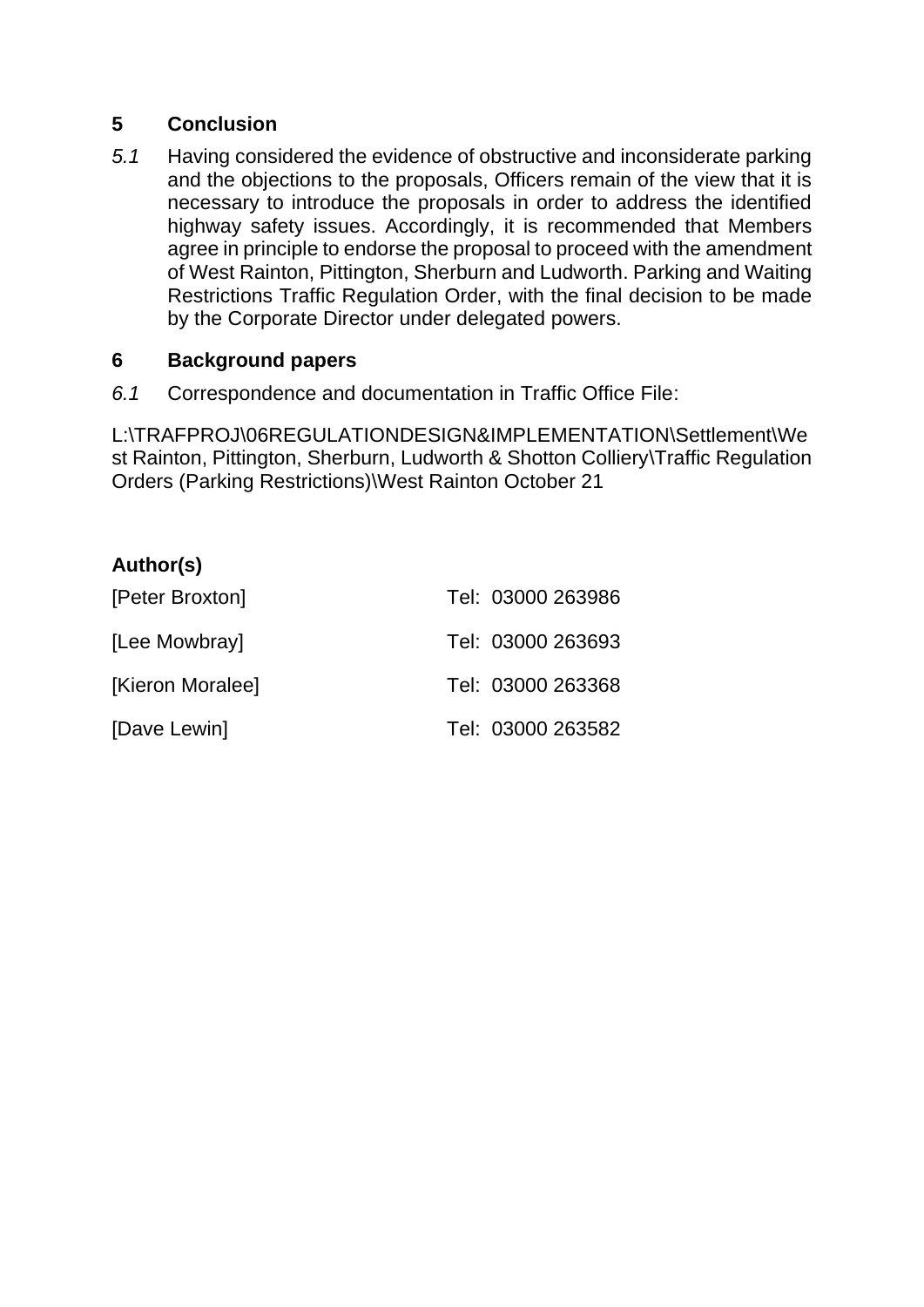#### **5 Conclusion**

*5.1* Having considered the evidence of obstructive and inconsiderate parking and the objections to the proposals, Officers remain of the view that it is necessary to introduce the proposals in order to address the identified highway safety issues. Accordingly, it is recommended that Members agree in principle to endorse the proposal to proceed with the amendment of West Rainton, Pittington, Sherburn and Ludworth. Parking and Waiting Restrictions Traffic Regulation Order, with the final decision to be made by the Corporate Director under delegated powers.

#### **6 Background papers**

*6.1* Correspondence and documentation in Traffic Office File:

L:\TRAFPROJ\06REGULATIONDESIGN&IMPLEMENTATION\Settlement\We st Rainton, Pittington, Sherburn, Ludworth & Shotton Colliery\Traffic Regulation Orders (Parking Restrictions)\West Rainton October 21

#### **Author(s)**

| [Peter Broxton]  | Tel: 03000 263986 |
|------------------|-------------------|
| [Lee Mowbray]    | Tel: 03000 263693 |
| [Kieron Moralee] | Tel: 03000 263368 |
| [Dave Lewin]     | Tel: 03000 263582 |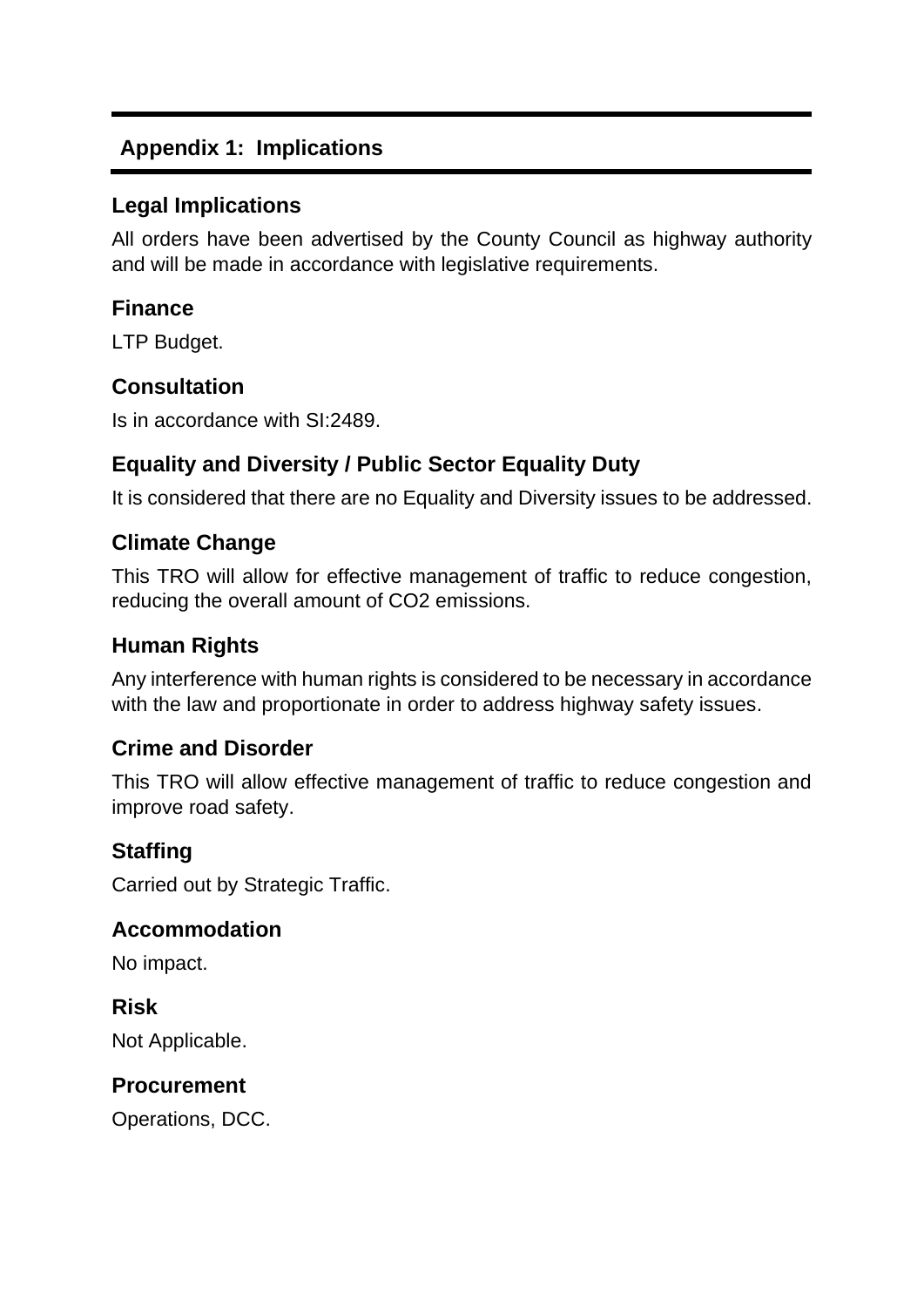# **Appendix 1: Implications**

## **Legal Implications**

All orders have been advertised by the County Council as highway authority and will be made in accordance with legislative requirements.

## **Finance**

LTP Budget.

## **Consultation**

Is in accordance with SI:2489.

# **Equality and Diversity / Public Sector Equality Duty**

It is considered that there are no Equality and Diversity issues to be addressed.

# **Climate Change**

This TRO will allow for effective management of traffic to reduce congestion, reducing the overall amount of CO2 emissions.

# **Human Rights**

Any interference with human rights is considered to be necessary in accordance with the law and proportionate in order to address highway safety issues.

# **Crime and Disorder**

This TRO will allow effective management of traffic to reduce congestion and improve road safety.

# **Staffing**

Carried out by Strategic Traffic.

#### **Accommodation**

No impact.

**Risk** Not Applicable.

#### **Procurement**

Operations, DCC.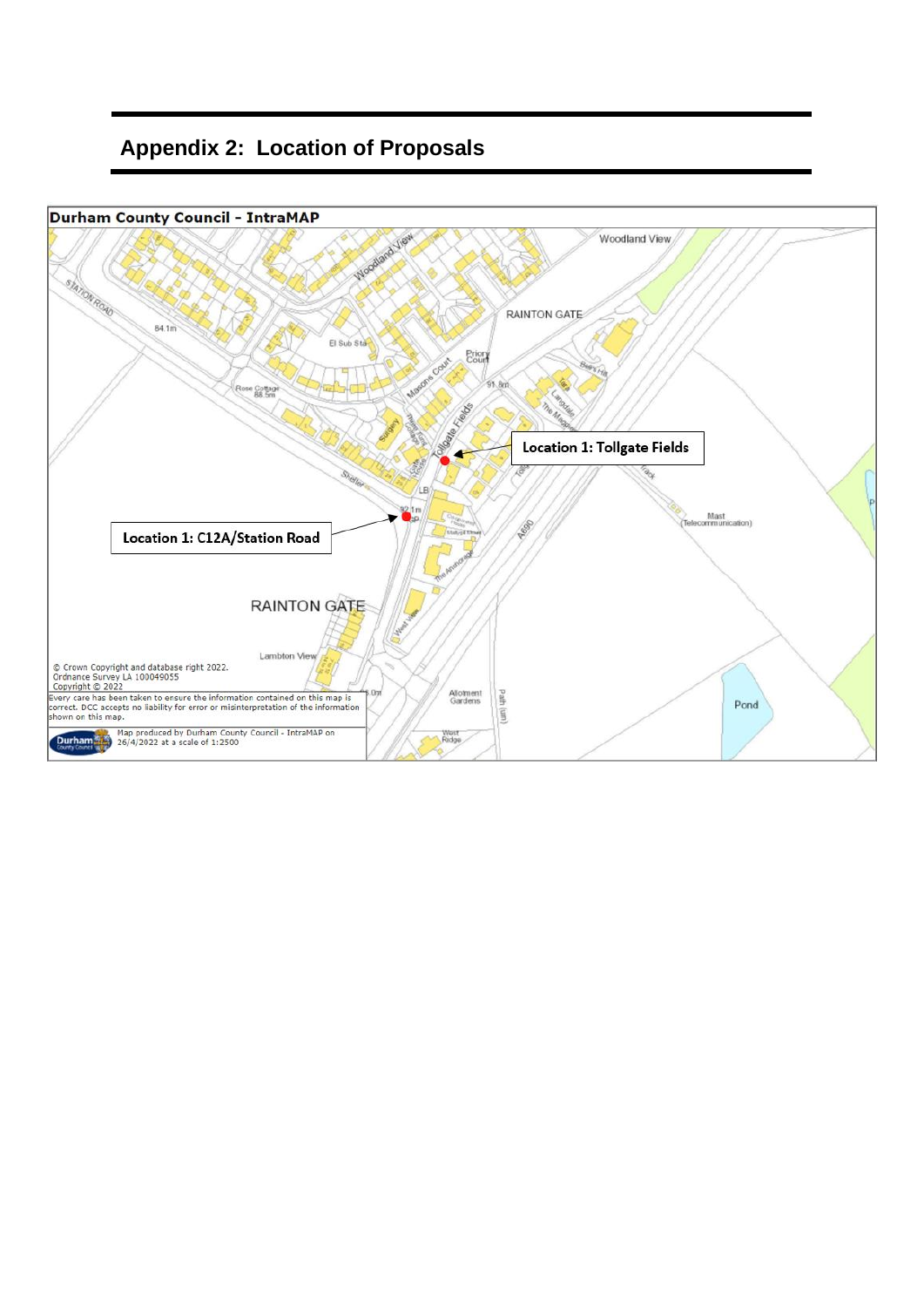# **Appendix 2: Location of Proposals**

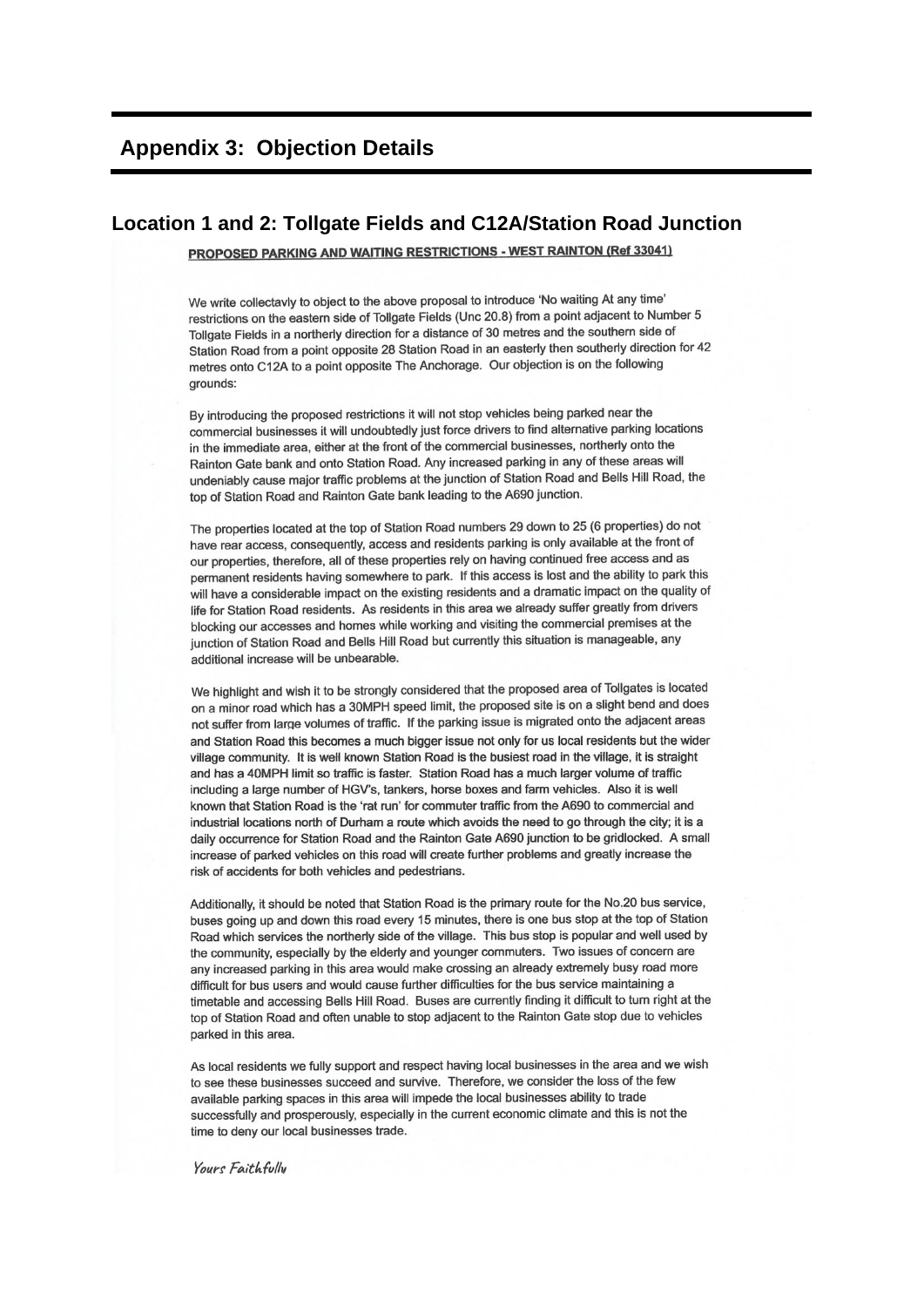#### **Appendix 3: Objection Details**

#### Location 1 and 2: Tollgate Fields and C12A/Station Road Junction

PROPOSED PARKING AND WAITING RESTRICTIONS - WEST RAINTON (Ref 33041)

We write collectavly to object to the above proposal to introduce 'No waiting At any time' restrictions on the eastern side of Tollgate Fields (Unc 20.8) from a point adjacent to Number 5 Tollgate Fields in a northerly direction for a distance of 30 metres and the southern side of Station Road from a point opposite 28 Station Road in an easterly then southerly direction for 42 metres onto C12A to a point opposite The Anchorage. Our objection is on the following grounds:

By introducing the proposed restrictions it will not stop vehicles being parked near the commercial businesses it will undoubtedly just force drivers to find alternative parking locations in the immediate area, either at the front of the commercial businesses, northerly onto the Rainton Gate bank and onto Station Road. Any increased parking in any of these areas will undeniably cause major traffic problems at the junction of Station Road and Bells Hill Road, the top of Station Road and Rainton Gate bank leading to the A690 junction.

The properties located at the top of Station Road numbers 29 down to 25 (6 properties) do not have rear access, consequently, access and residents parking is only available at the front of our properties, therefore, all of these properties rely on having continued free access and as permanent residents having somewhere to park. If this access is lost and the ability to park this will have a considerable impact on the existing residents and a dramatic impact on the quality of life for Station Road residents. As residents in this area we already suffer greatly from drivers blocking our accesses and homes while working and visiting the commercial premises at the junction of Station Road and Bells Hill Road but currently this situation is manageable, any additional increase will be unbearable.

We highlight and wish it to be strongly considered that the proposed area of Tollgates is located on a minor road which has a 30MPH speed limit, the proposed site is on a slight bend and does not suffer from large volumes of traffic. If the parking issue is migrated onto the adjacent areas and Station Road this becomes a much bigger issue not only for us local residents but the wider village community. It is well known Station Road is the busiest road in the village, it is straight and has a 40MPH limit so traffic is faster. Station Road has a much larger volume of traffic including a large number of HGV's, tankers, horse boxes and farm vehicles. Also it is well known that Station Road is the 'rat run' for commuter traffic from the A690 to commercial and industrial locations north of Durham a route which avoids the need to go through the city; it is a daily occurrence for Station Road and the Rainton Gate A690 junction to be gridlocked. A small increase of parked vehicles on this road will create further problems and greatly increase the risk of accidents for both vehicles and pedestrians.

Additionally, it should be noted that Station Road is the primary route for the No.20 bus service, buses going up and down this road every 15 minutes, there is one bus stop at the top of Station Road which services the northerly side of the village. This bus stop is popular and well used by the community, especially by the elderly and younger commuters. Two issues of concern are any increased parking in this area would make crossing an already extremely busy road more difficult for bus users and would cause further difficulties for the bus service maintaining a timetable and accessing Bells Hill Road. Buses are currently finding it difficult to turn right at the top of Station Road and often unable to stop adjacent to the Rainton Gate stop due to vehicles parked in this area.

As local residents we fully support and respect having local businesses in the area and we wish to see these businesses succeed and survive. Therefore, we consider the loss of the few available parking spaces in this area will impede the local businesses ability to trade successfully and prosperously, especially in the current economic climate and this is not the time to deny our local businesses trade.

Yours Faithfully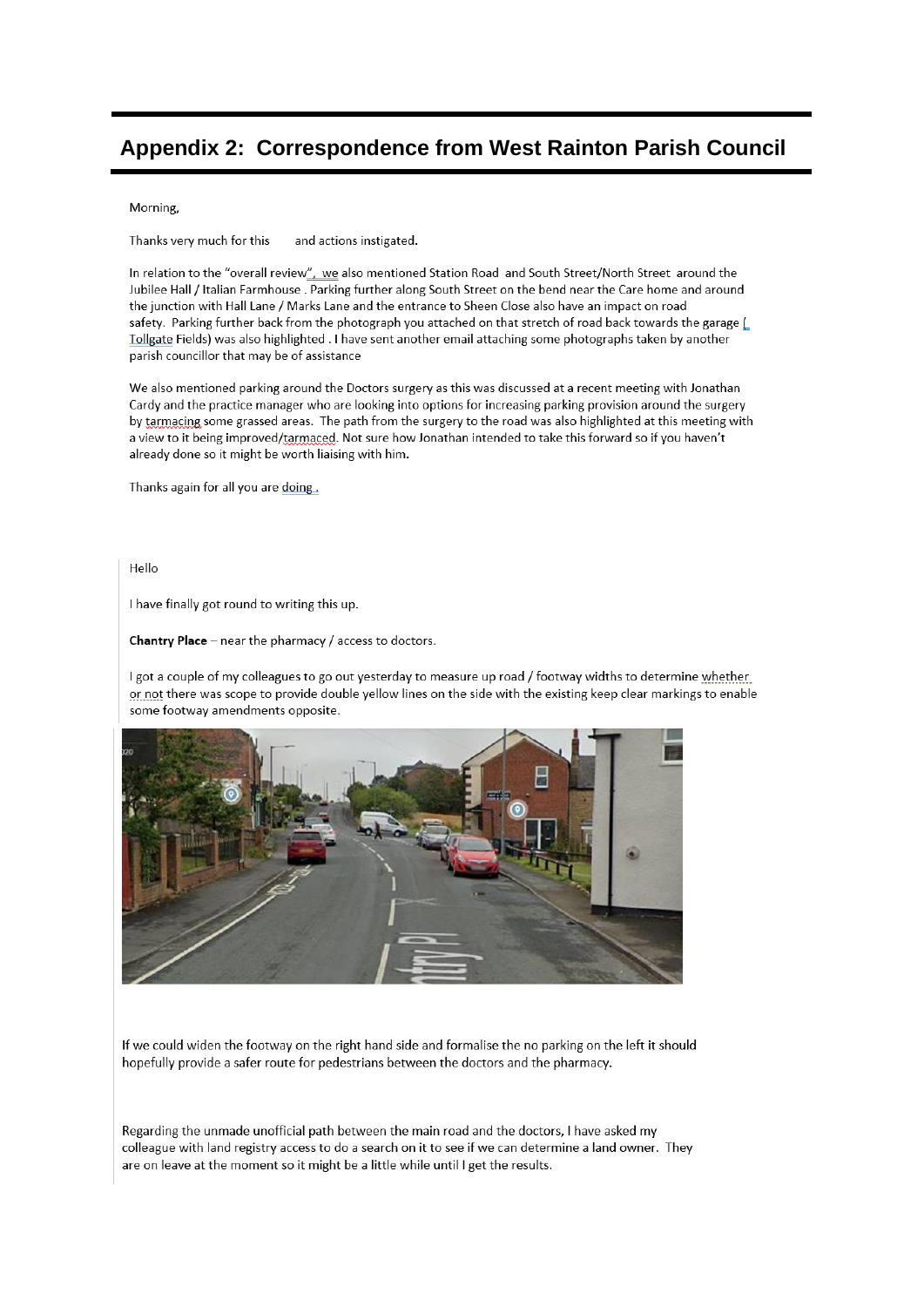## Appendix 2: Correspondence from West Rainton Parish Council

#### Morning,

Thanks very much for this and actions instigated.

In relation to the "overall review", we also mentioned Station Road and South Street/North Street around the Jubilee Hall / Italian Farmhouse . Parking further along South Street on the bend near the Care home and around the junction with Hall Lane / Marks Lane and the entrance to Sheen Close also have an impact on road safety. Parking further back from the photograph you attached on that stretch of road back towards the garage [ Tollgate Fields) was also highlighted . I have sent another email attaching some photographs taken by another parish councillor that may be of assistance

We also mentioned parking around the Doctors surgery as this was discussed at a recent meeting with Jonathan Cardy and the practice manager who are looking into options for increasing parking provision around the surgery by tarmacing some grassed areas. The path from the surgery to the road was also highlighted at this meeting with a view to it being improved/tarmaced. Not sure how Jonathan intended to take this forward so if you haven't already done so it might be worth liaising with him.

Thanks again for all you are doing.

Hello

I have finally got round to writing this up.

Chantry Place - near the pharmacy / access to doctors.

Lgot a couple of my colleagues to go out vesterday to measure up road / footway widths to determine whether or not there was scope to provide double yellow lines on the side with the existing keep clear markings to enable some footway amendments opposite.



If we could widen the footway on the right hand side and formalise the no parking on the left it should hopefully provide a safer route for pedestrians between the doctors and the pharmacy.

Regarding the unmade unofficial path between the main road and the doctors, I have asked my colleague with land registry access to do a search on it to see if we can determine a land owner. They are on leave at the moment so it might be a little while until I get the results.